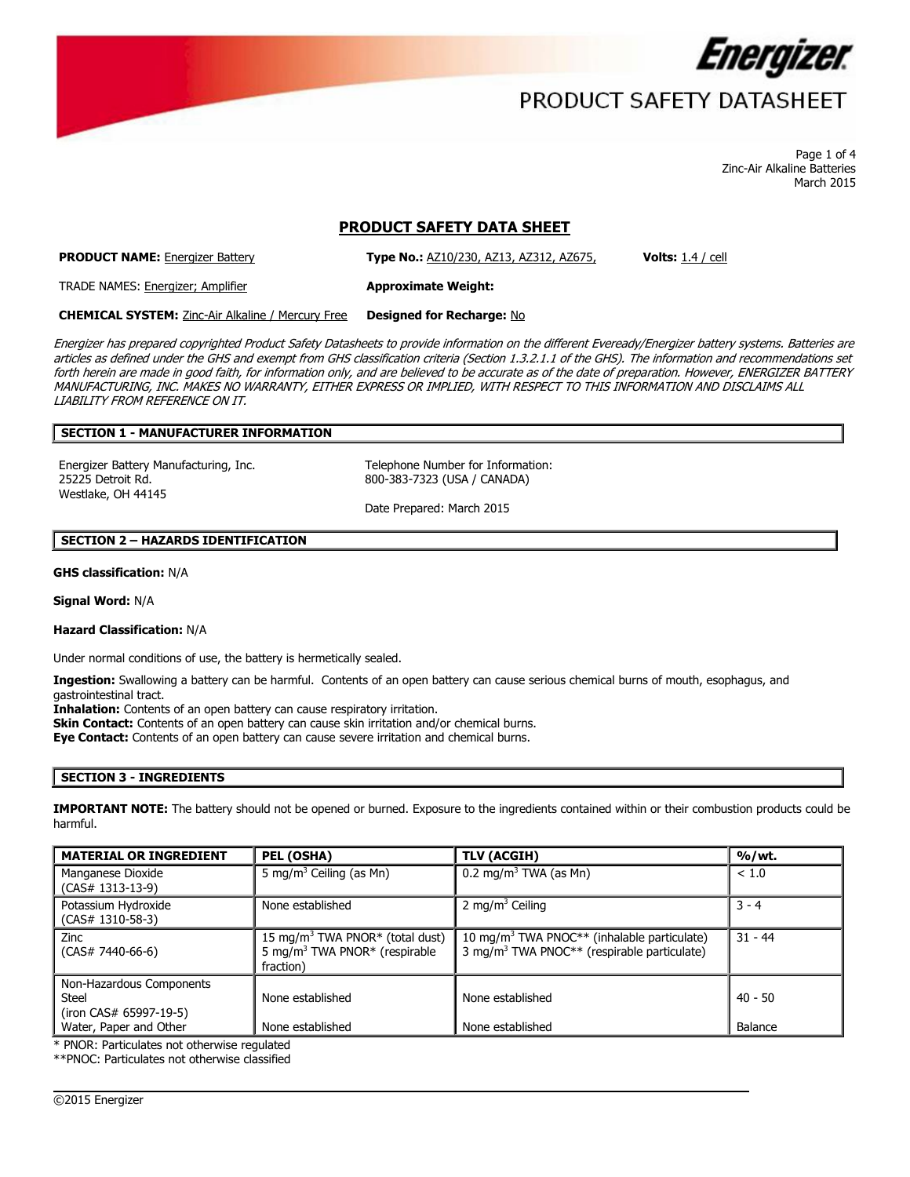

# PRODUCT SAFETY DATASHEET

Page 1 of 4 Zinc-Air Alkaline Batteries March 2015

# **PRODUCT SAFETY DATA SHEET**

**PRODUCT NAME:** Energizer Battery **Type No.:** AZ10/230, AZ13, AZ312, AZ675, **Volts:** 1.4 / cell

TRADE NAMES: Energizer; Amplifier **Approximate Weight:**

**CHEMICAL SYSTEM:** Zinc-Air Alkaline / Mercury Free **Designed for Recharge:** No

Energizer has prepared copyrighted Product Safety Datasheets to provide information on the different Eveready/Energizer battery systems. Batteries are articles as defined under the GHS and exempt from GHS classification criteria (Section 1.3.2.1.1 of the GHS). The information and recommendations set forth herein are made in good faith, for information only, and are believed to be accurate as of the date of preparation. However, ENERGIZER BATTERY MANUFACTURING, INC. MAKES NO WARRANTY, EITHER EXPRESS OR IMPLIED, WITH RESPECT TO THIS INFORMATION AND DISCLAIMS ALL LIABILITY FROM REFERENCE ON IT.

## **SECTION 1 - MANUFACTURER INFORMATION**

Energizer Battery Manufacturing, Inc. Telephone Number for Information: 25225 Detroit Rd. Westlake, OH 44145

800-383-7323 (USA / CANADA)

Date Prepared: March 2015

### **SECTION 2 – HAZARDS IDENTIFICATION**

**GHS classification:** N/A

**Signal Word:** N/A

## **Hazard Classification:** N/A

Under normal conditions of use, the battery is hermetically sealed.

**Ingestion:** Swallowing a battery can be harmful. Contents of an open battery can cause serious chemical burns of mouth, esophagus, and gastrointestinal tract.

**Inhalation:** Contents of an open battery can cause respiratory irritation.

**Skin Contact:** Contents of an open battery can cause skin irritation and/or chemical burns.

**Eye Contact:** Contents of an open battery can cause severe irritation and chemical burns.

### **SECTION 3 - INGREDIENTS**

**IMPORTANT NOTE:** The battery should not be opened or burned. Exposure to the ingredients contained within or their combustion products could be harmful.

| <b>MATERIAL OR INGREDIENT</b>                                      | PEL (OSHA)                                                                                                        | <b>TLV (ACGIH)</b>                                                                                                 | %/wt.     |
|--------------------------------------------------------------------|-------------------------------------------------------------------------------------------------------------------|--------------------------------------------------------------------------------------------------------------------|-----------|
| Manganese Dioxide<br>$(CAS# 1313-13-9)$                            | 5 mg/m <sup>3</sup> Ceiling (as Mn)                                                                               | $0.2 \text{ mg/m}^3$ TWA (as Mn)                                                                                   | < 1.0     |
| Potassium Hydroxide<br>$(CAS# 1310-58-3)$                          | None established                                                                                                  | 2 mg/m <sup>3</sup> Ceiling                                                                                        | $3 - 4$   |
| Zinc<br>$(CAS# 7440-66-6)$                                         | 15 mg/m <sup>3</sup> TWA PNOR <sup>*</sup> (total dust)<br>5 mg/m <sup>3</sup> TWA PNOR* (respirable<br>fraction) | 10 mg/m <sup>3</sup> TWA PNOC** (inhalable particulate)<br>3 mg/m <sup>3</sup> TWA PNOC** (respirable particulate) | $31 - 44$ |
| Non-Hazardous Components<br><b>Steel</b><br>(iron CAS# 65997-19-5) | None established                                                                                                  | None established                                                                                                   | $40 - 50$ |
| Water, Paper and Other                                             | None established                                                                                                  | None established                                                                                                   | Balance   |

 $\overline{\phantom{a}}$ 

\* PNOR: Particulates not otherwise regulated

\*\*PNOC: Particulates not otherwise classified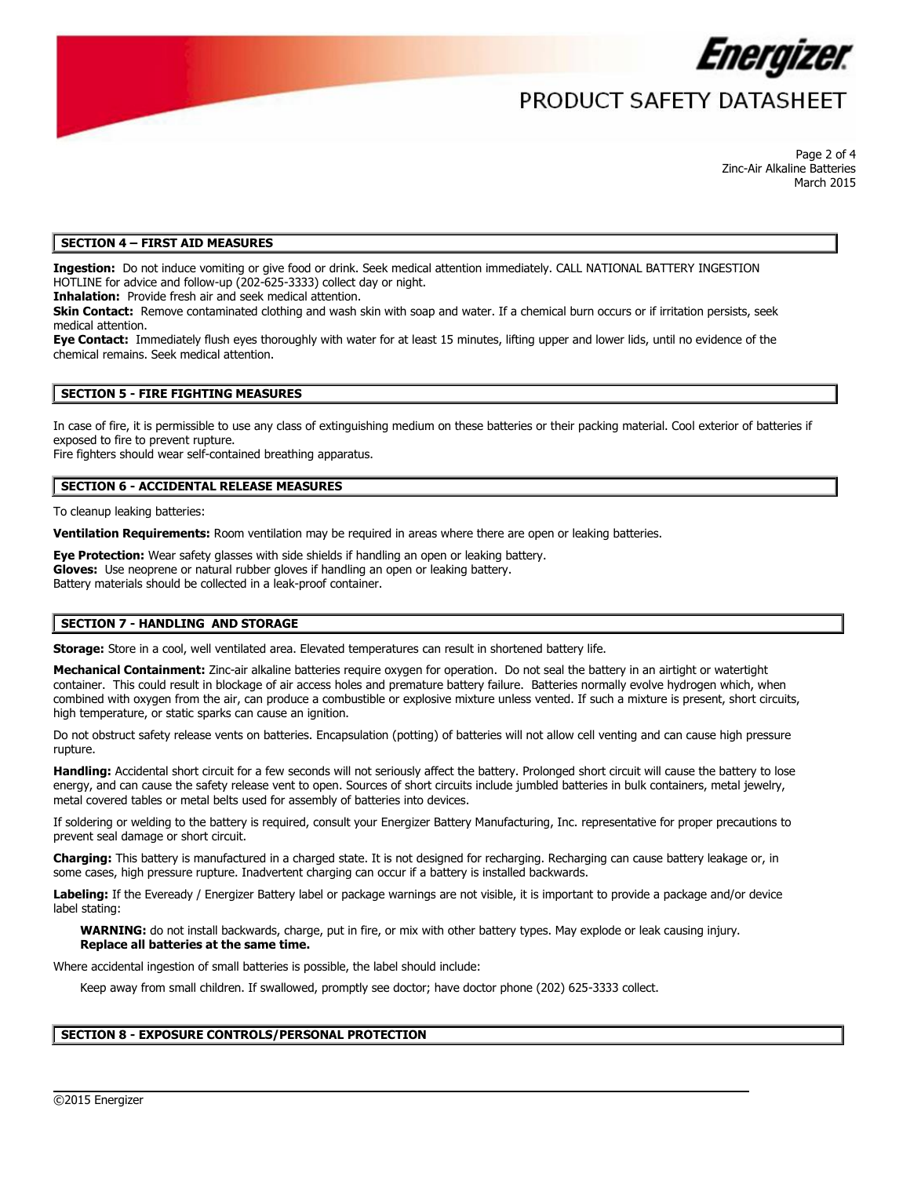

# PRODUCT SAFFTY DATASHFFT

Page 2 of 4 Zinc-Air Alkaline Batteries March 2015

### **SECTION 4 – FIRST AID MEASURES**

**Ingestion:** Do not induce vomiting or give food or drink. Seek medical attention immediately. CALL NATIONAL BATTERY INGESTION HOTLINE for advice and follow-up (202-625-3333) collect day or night.

**Inhalation:** Provide fresh air and seek medical attention.

**Skin Contact:** Remove contaminated clothing and wash skin with soap and water. If a chemical burn occurs or if irritation persists, seek medical attention.

**Eye Contact:** Immediately flush eyes thoroughly with water for at least 15 minutes, lifting upper and lower lids, until no evidence of the chemical remains. Seek medical attention.

### **SECTION 5 - FIRE FIGHTING MEASURES**

In case of fire, it is permissible to use any class of extinguishing medium on these batteries or their packing material. Cool exterior of batteries if exposed to fire to prevent rupture.

Fire fighters should wear self-contained breathing apparatus.

### **SECTION 6 - ACCIDENTAL RELEASE MEASURES**

To cleanup leaking batteries:

**Ventilation Requirements:** Room ventilation may be required in areas where there are open or leaking batteries.

**Eye Protection:** Wear safety glasses with side shields if handling an open or leaking battery. **Gloves:** Use neoprene or natural rubber gloves if handling an open or leaking battery. Battery materials should be collected in a leak-proof container.

### **SECTION 7 - HANDLING AND STORAGE**

**Storage:** Store in a cool, well ventilated area. Elevated temperatures can result in shortened battery life.

**Mechanical Containment:** Zinc-air alkaline batteries require oxygen for operation. Do not seal the battery in an airtight or watertight container. This could result in blockage of air access holes and premature battery failure. Batteries normally evolve hydrogen which, when combined with oxygen from the air, can produce a combustible or explosive mixture unless vented. If such a mixture is present, short circuits, high temperature, or static sparks can cause an ignition.

Do not obstruct safety release vents on batteries. Encapsulation (potting) of batteries will not allow cell venting and can cause high pressure rupture.

**Handling:** Accidental short circuit for a few seconds will not seriously affect the battery. Prolonged short circuit will cause the battery to lose energy, and can cause the safety release vent to open. Sources of short circuits include jumbled batteries in bulk containers, metal jewelry, metal covered tables or metal belts used for assembly of batteries into devices.

If soldering or welding to the battery is required, consult your Energizer Battery Manufacturing, Inc. representative for proper precautions to prevent seal damage or short circuit.

**Charging:** This battery is manufactured in a charged state. It is not designed for recharging. Recharging can cause battery leakage or, in some cases, high pressure rupture. Inadvertent charging can occur if a battery is installed backwards.

**Labeling:** If the Eveready / Energizer Battery label or package warnings are not visible, it is important to provide a package and/or device label stating:

 $\overline{\phantom{a}}$ 

**WARNING:** do not install backwards, charge, put in fire, or mix with other battery types. May explode or leak causing injury. **Replace all batteries at the same time.**

Where accidental ingestion of small batteries is possible, the label should include:

Keep away from small children. If swallowed, promptly see doctor; have doctor phone (202) 625-3333 collect.

### **SECTION 8 - EXPOSURE CONTROLS/PERSONAL PROTECTION**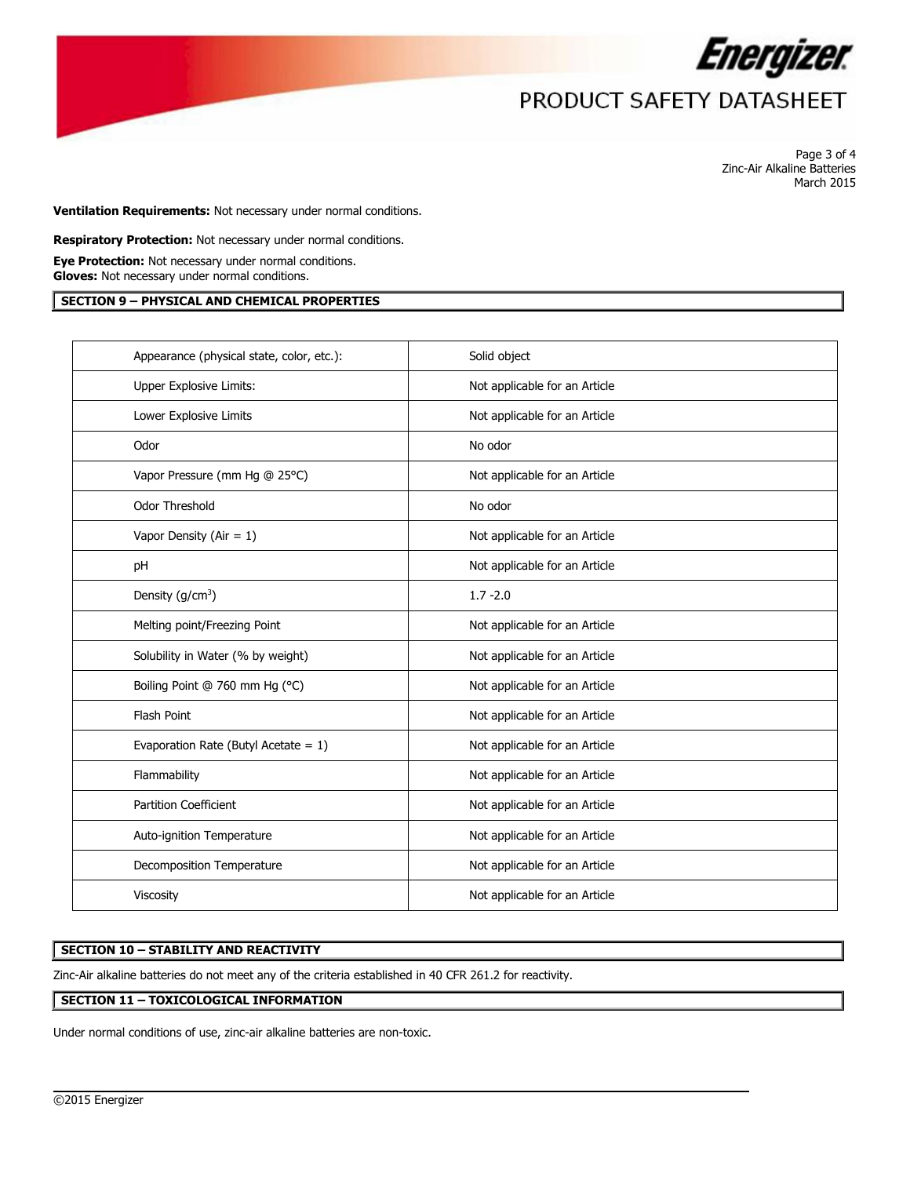

# PRODUCT SAFETY DATASHEET

Page 3 of 4 Zinc-Air Alkaline Batteries March 2015

**Ventilation Requirements:** Not necessary under normal conditions.

**Respiratory Protection:** Not necessary under normal conditions.

**Eye Protection:** Not necessary under normal conditions. **Gloves:** Not necessary under normal conditions.

### **SECTION 9 – PHYSICAL AND CHEMICAL PROPERTIES**

| Appearance (physical state, color, etc.): | Solid object                  |
|-------------------------------------------|-------------------------------|
| Upper Explosive Limits:                   | Not applicable for an Article |
| Lower Explosive Limits                    | Not applicable for an Article |
| Odor                                      | No odor                       |
| Vapor Pressure (mm Hg @ 25°C)             | Not applicable for an Article |
| <b>Odor Threshold</b>                     | No odor                       |
| Vapor Density (Air = $1$ )                | Not applicable for an Article |
| pH                                        | Not applicable for an Article |
| Density $(g/cm^3)$                        | $1.7 - 2.0$                   |
| Melting point/Freezing Point              | Not applicable for an Article |
| Solubility in Water (% by weight)         | Not applicable for an Article |
| Boiling Point @ 760 mm Hg (°C)            | Not applicable for an Article |
| <b>Flash Point</b>                        | Not applicable for an Article |
| Evaporation Rate (Butyl Acetate = $1$ )   | Not applicable for an Article |
| Flammability                              | Not applicable for an Article |
| <b>Partition Coefficient</b>              | Not applicable for an Article |
| Auto-ignition Temperature                 | Not applicable for an Article |
| Decomposition Temperature                 | Not applicable for an Article |
| Viscosity                                 | Not applicable for an Article |

 $\overline{\phantom{a}}$ 

## **SECTION 10 – STABILITY AND REACTIVITY**

Zinc-Air alkaline batteries do not meet any of the criteria established in 40 CFR 261.2 for reactivity.

## **SECTION 11 – TOXICOLOGICAL INFORMATION**

Under normal conditions of use, zinc-air alkaline batteries are non-toxic.